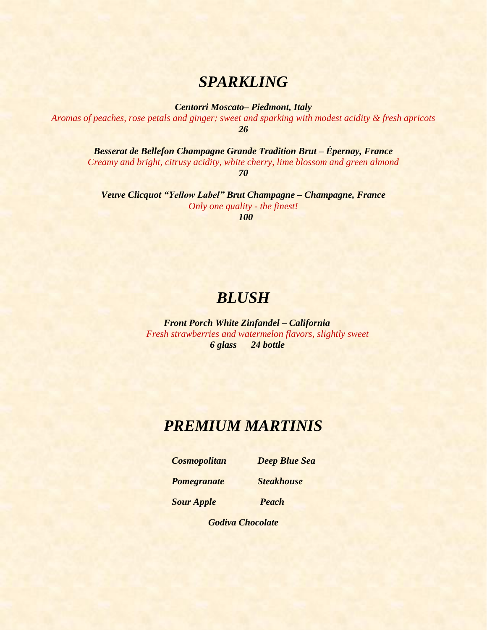### *SPARKLING*

*Centorri Moscato– Piedmont, Italy*

*Aromas of peaches, rose petals and ginger; sweet and sparking with modest acidity & fresh apricots 26*

*Besserat de Bellefon Champagne Grande Tradition Brut – Épernay, France Creamy and bright, citrusy acidity, white cherry, lime blossom and green almond 70*

*Veuve Clicquot "Yellow Label" Brut Champagne – Champagne, France Only one quality - the finest! 100*

### *BLUSH*

 *Front Porch White Zinfandel – California Fresh strawberries and watermelon flavors, slightly sweet 6 glass 24 bottle* 

### *PREMIUM MARTINIS*

 *Cosmopolitan Deep Blue Sea*

 *Pomegranate Steakhouse* 

 *Sour Apple Peach* 

*Godiva Chocolate*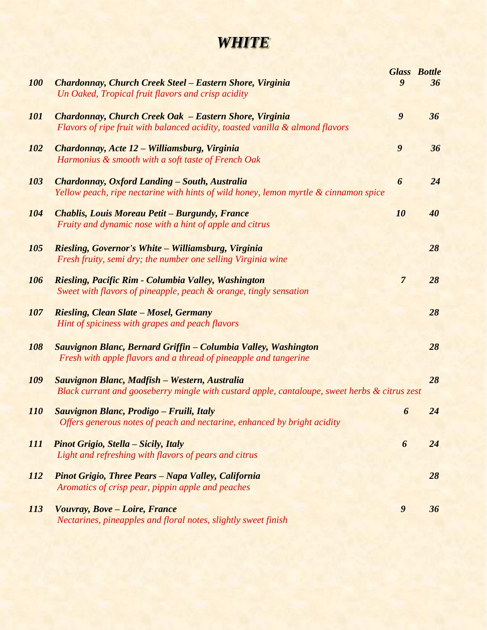## *WHITE*

| <b>100</b> | Chardonnay, Church Creek Steel - Eastern Shore, Virginia<br>Un Oaked, Tropical fruit flavors and crisp acidity                                 | $\boldsymbol{9}$ | <b>Glass Bottle</b><br>36 |
|------------|------------------------------------------------------------------------------------------------------------------------------------------------|------------------|---------------------------|
| <b>101</b> | Chardonnay, Church Creek Oak - Eastern Shore, Virginia<br>Flavors of ripe fruit with balanced acidity, toasted vanilla & almond flavors        | $\boldsymbol{9}$ | 36                        |
| <b>102</b> | Chardonnay, Acte 12 – Williamsburg, Virginia<br>Harmonius & smooth with a soft taste of French Oak                                             | $\boldsymbol{9}$ | 36                        |
| 103        | Chardonnay, Oxford Landing - South, Australia<br>Yellow peach, ripe nectarine with hints of wild honey, lemon myrtle & cinnamon spice          | 6                | 24                        |
| <b>104</b> | <b>Chablis, Louis Moreau Petit – Burgundy, France</b><br>Fruity and dynamic nose with a hint of apple and citrus                               | 10               | 40                        |
| <b>105</b> | Riesling, Governor's White - Williamsburg, Virginia<br>Fresh fruity, semi dry; the number one selling Virginia wine                            |                  | 28                        |
| <b>106</b> | Riesling, Pacific Rim - Columbia Valley, Washington<br>Sweet with flavors of pineapple, peach & orange, tingly sensation                       | $\overline{7}$   | 28                        |
| <b>107</b> | <b>Riesling, Clean Slate - Mosel, Germany</b><br>Hint of spiciness with grapes and peach flavors                                               |                  | 28                        |
| 108        | Sauvignon Blanc, Bernard Griffin - Columbia Valley, Washington<br>Fresh with apple flavors and a thread of pineapple and tangerine             |                  | 28                        |
| 109        | Sauvignon Blanc, Madfish - Western, Australia<br>Black currant and gooseberry mingle with custard apple, cantaloupe, sweet herbs & citrus zest |                  | 28                        |
| <i>110</i> | Sauvignon Blanc, Prodigo - Fruili, Italy<br>Offers generous notes of peach and nectarine, enhanced by bright acidity                           | $\boldsymbol{6}$ | 24                        |
| <i>111</i> | <b>Pinot Grigio, Stella – Sicily, Italy</b><br>Light and refreshing with flavors of pears and citrus                                           | 6                | 24                        |
| <i>112</i> | <b>Pinot Grigio, Three Pears - Napa Valley, California</b><br>Aromatics of crisp pear, pippin apple and peaches                                |                  | 28                        |
| <i>113</i> | Vouvray, Bove - Loire, France<br>Nectarines, pineapples and floral notes, slightly sweet finish                                                | $\boldsymbol{9}$ | 36                        |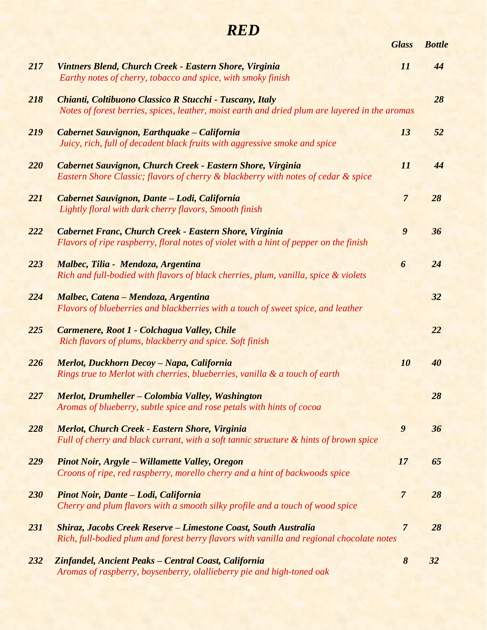# *RED*

|     |                                                                                                                                                                     | <b>Glass</b>          | <b>Bottle</b> |
|-----|---------------------------------------------------------------------------------------------------------------------------------------------------------------------|-----------------------|---------------|
| 217 | Vintners Blend, Church Creek - Eastern Shore, Virginia<br>Earthy notes of cherry, tobacco and spice, with smoky finish                                              | 11                    | 44            |
| 218 | Chianti, Coltibuono Classico R Stucchi - Tuscany, Italy<br>Notes of forest berries, spices, leather, moist earth and dried plum are layered in the aromas           |                       | 28            |
| 219 | Cabernet Sauvignon, Earthquake – California<br>Juicy, rich, full of decadent black fruits with aggressive smoke and spice                                           | 13                    | 52            |
| 220 | Cabernet Sauvignon, Church Creek - Eastern Shore, Virginia<br>Eastern Shore Classic; flavors of cherry & blackberry with notes of cedar & spice                     | 11                    | 44            |
| 221 | Cabernet Sauvignon, Dante - Lodi, California<br>Lightly floral with dark cherry flavors, Smooth finish                                                              | $\overline{7}$        | 28            |
| 222 | Cabernet Franc, Church Creek - Eastern Shore, Virginia<br>Flavors of ripe raspberry, floral notes of violet with a hint of pepper on the finish                     | $\boldsymbol{9}$      | 36            |
| 223 | Malbec, Tilia - Mendoza, Argentina<br>Rich and full-bodied with flavors of black cherries, plum, vanilla, spice & violets                                           | 6                     | 24            |
| 224 | Malbec, Catena - Mendoza, Argentina<br>Flavors of blueberries and blackberries with a touch of sweet spice, and leather                                             |                       | 32            |
| 225 | Carmenere, Root 1 - Colchagua Valley, Chile<br>Rich flavors of plums, blackberry and spice. Soft finish                                                             |                       | 22            |
| 226 | Merlot, Duckhorn Decoy - Napa, California<br>Rings true to Merlot with cherries, blueberries, vanilla & a touch of earth                                            | 10                    | 40            |
| 227 | Merlot, Drumheller - Colombia Valley, Washington<br>Aromas of blueberry, subtle spice and rose petals with hints of cocoa                                           |                       | 28            |
| 228 | <b>Merlot, Church Creek - Eastern Shore, Virginia</b><br>Full of cherry and black currant, with a soft tannic structure & hints of brown spice                      | $\boldsymbol{9}$      | 36            |
| 229 | <b>Pinot Noir, Argyle – Willamette Valley, Oregon</b><br>Croons of ripe, red raspberry, morello cherry and a hint of backwoods spice                                | 17                    | 65            |
| 230 | Pinot Noir, Dante - Lodi, California<br>Cherry and plum flavors with a smooth silky profile and a touch of wood spice                                               | $\overline{7}$        | 28            |
| 231 | <b>Shiraz, Jacobs Creek Reserve – Limestone Coast, South Australia</b><br>Rich, full-bodied plum and forest berry flavors with vanilla and regional chocolate notes | $\overline{7}$        | 28            |
| 232 | Zinfandel, Ancient Peaks - Central Coast, California<br>Aromas of raspberry, boysenberry, olallieberry pie and high-toned oak                                       | $\boldsymbol{\delta}$ | 32            |